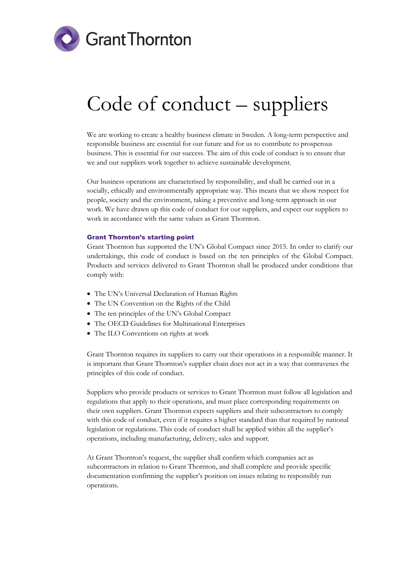

# Code of conduct – suppliers

We are working to create a healthy business climate in Sweden. A long-term perspective and responsible business are essential for our future and for us to contribute to prosperous business. This is essential for our success. The aim of this code of conduct is to ensure that we and our suppliers work together to achieve sustainable development.

Our business operations are characterised by responsibility, and shall be carried out in a socially, ethically and environmentally appropriate way. This means that we show respect for people, society and the environment, taking a preventive and long-term approach in our work. We have drawn up this code of conduct for our suppliers, and expect our suppliers to work in accordance with the same values as Grant Thornton.

## Grant Thornton's starting point

Grant Thornton has supported the UN's Global Compact since 2015. In order to clarify our undertakings, this code of conduct is based on the ten principles of the Global Compact. Products and services delivered to Grant Thornton shall be produced under conditions that comply with:

- The UN's Universal Declaration of Human Rights
- The UN Convention on the Rights of the Child
- The ten principles of the UN's Global Compact
- The OECD Guidelines for Multinational Enterprises
- The ILO Conventions on rights at work

Grant Thornton requires its suppliers to carry out their operations in a responsible manner. It is important that Grant Thornton's supplier chain does not act in a way that contravenes the principles of this code of conduct.

Suppliers who provide products or services to Grant Thornton must follow all legislation and regulations that apply to their operations, and must place corresponding requirements on their own suppliers. Grant Thornton expects suppliers and their subcontractors to comply with this code of conduct, even if it requires a higher standard than that required by national legislation or regulations. This code of conduct shall be applied within all the supplier's operations, including manufacturing, delivery, sales and support.

At Grant Thornton's request, the supplier shall confirm which companies act as subcontractors in relation to Grant Thornton, and shall complete and provide specific documentation confirming the supplier's position on issues relating to responsibly run operations.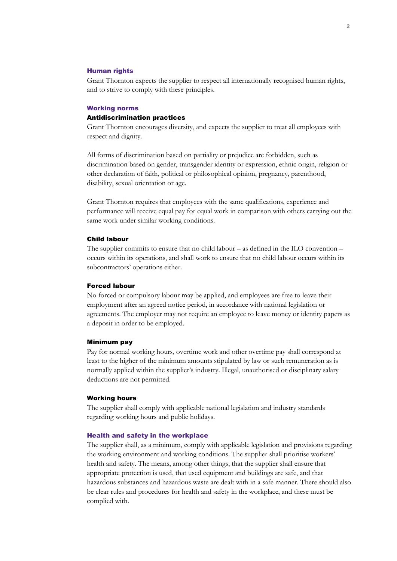# Human rights

Grant Thornton expects the supplier to respect all internationally recognised human rights, and to strive to comply with these principles.

# Working norms Antidiscrimination practices

Grant Thornton encourages diversity, and expects the supplier to treat all employees with respect and dignity.

All forms of discrimination based on partiality or prejudice are forbidden, such as discrimination based on gender, transgender identity or expression, ethnic origin, religion or other declaration of faith, political or philosophical opinion, pregnancy, parenthood, disability, sexual orientation or age.

Grant Thornton requires that employees with the same qualifications, experience and performance will receive equal pay for equal work in comparison with others carrying out the same work under similar working conditions.

# Child labour

The supplier commits to ensure that no child labour – as defined in the ILO convention – occurs within its operations, and shall work to ensure that no child labour occurs within its subcontractors' operations either.

#### Forced labour

No forced or compulsory labour may be applied, and employees are free to leave their employment after an agreed notice period, in accordance with national legislation or agreements. The employer may not require an employee to leave money or identity papers as a deposit in order to be employed.

#### Minimum pay

Pay for normal working hours, overtime work and other overtime pay shall correspond at least to the higher of the minimum amounts stipulated by law or such remuneration as is normally applied within the supplier's industry. Illegal, unauthorised or disciplinary salary deductions are not permitted.

## Working hours

The supplier shall comply with applicable national legislation and industry standards regarding working hours and public holidays.

## Health and safety in the workplace

The supplier shall, as a minimum, comply with applicable legislation and provisions regarding the working environment and working conditions. The supplier shall prioritise workers' health and safety. The means, among other things, that the supplier shall ensure that appropriate protection is used, that used equipment and buildings are safe, and that hazardous substances and hazardous waste are dealt with in a safe manner. There should also be clear rules and procedures for health and safety in the workplace, and these must be complied with.